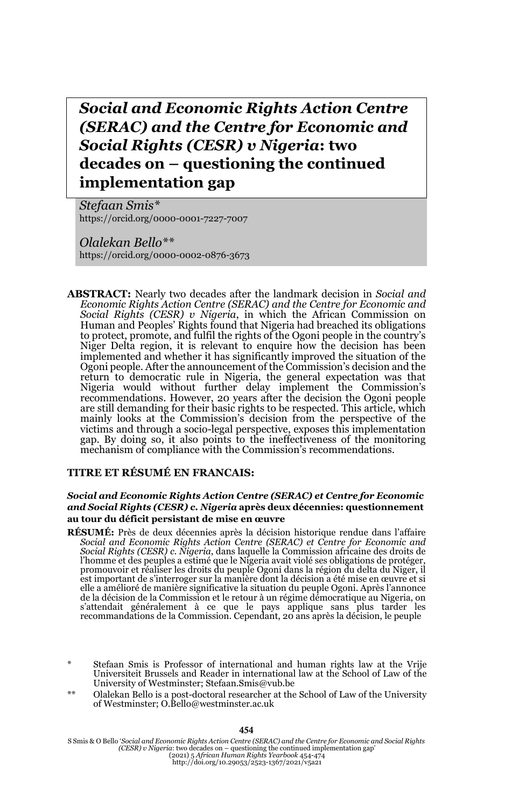*Social and Economic Rights Action Centre (SERAC) and the Centre for Economic and Social Rights (CESR) v Nigeria***: two decades on – questioning the continued implementation gap**

*Stefaan Smis\** https://orcid.org/0000-0001-7227-7007

*Olalekan Bello\*\** https://orcid.org/0000-0002-0876-3673

**ABSTRACT:** Nearly two decades after the landmark decision in *Social and Economic Rights Action Centre (SERAC) and the Centre for Economic and Social Rights (CESR) v Nigeria*, in which the African Commission on Human and Peoples' Rights found that Nigeria had breached its obligations to protect, promote, and fulfil the rights of the Ogoni people in the country's Niger Delta region, it is relevant to enquire how the decision has been implemented and whether it has significantly improved the situation of the Ogoni people. After the announcement of the Commission's decision and the return to democratic rule in Nigeria, the general expectation was that Nigeria would without further delay implement the Commission's recommendations. However, 20 years after the decision the Ogoni people are still demanding for their basic rights to be respected. This article, which mainly looks at the Commission's decision from the perspective of the victims and through a socio-legal perspective, exposes this implementation gap. By doing so, it also points to the ineffectiveness of the monitoring mechanism of compliance with the Commission's recommendations.

### **TITRE ET RÉSUMÉ EN FRANCAIS:**

#### *Social and Economic Rights Action Centre (SERAC) et Centre for Economic and Social Rights (CESR) c. Nigeria* **après deux décennies: questionnement au tour du déficit persistant de mise en œuvre**

- **RÉSUMÉ:** Près de deux décennies après la décision historique rendue dans l'affaire *Social and Economic Rights Action Centre (SERAC) et Centre for Economic and Social Rights (CESR) c. Ñigeria,* dans laquelle la Commission africaine des droits de<br>l'homme et des peuples a estimé que le Nigeria avait violé ses obligations de protéger,<br>promouvoir et réaliser les droits du peuple Ogo est important de s'interroger sur la manière dont la décision a été mise en œuvre et si elle a amélioré de manière significative la situation du peuple Ogoni. Après l'annonce de la décision de la Commission et le retour à un régime démocratique au Nigeria, on s'attendait généralement à ce que le pays applique sans plus tarder les recommandations de la Commission. Cependant, 20 ans après la décision, le peuple
- Stefaan Smis is Professor of international and human rights law at the Vrije Universiteit Brussels and Reader in international law at the School of Law of the University of Westminster; Stefaan.Smis@vub.be
- \*\* Olalekan Bello is a post-doctoral researcher at the School of Law of the University of Westminster; O.Bello@westminster.ac.uk

**454**

S Smis & O Bello '*Social and Economic Rights Action Centre (SERAC) and the Centre for Economic and Social Rights (CESR) v Nigeria:* two decades on – questioning the continued implementation gap'<br>(2021) 5 *African Human Rights Year-book 454-474*<br>http://doi.org/10.29053/2523-1367/2021/v5a21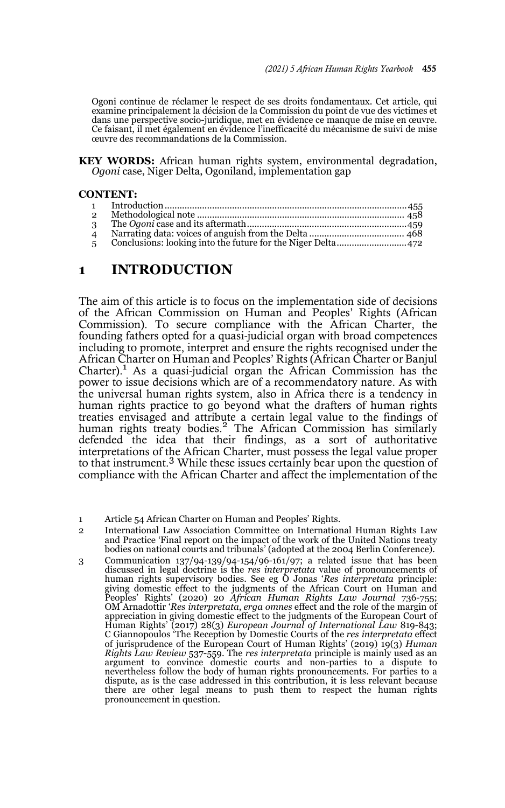Ogoni continue de réclamer le respect de ses droits fondamentaux. Cet article, qui examine principalement la décision de la Commission du point de vue des victimes et dans une perspective socio-juridique, met en évidence ce manque de mise en œuvre. Ce faisant, il met également en évidence l'inefficacité du mécanisme de suivi de mise œuvre des recommandations de la Commission.

**KEY WORDS:** African human rights system, environmental degradation, *Ogoni* case, Niger Delta, Ogoniland, implementation gap

#### **CONTENT:**

| $\overline{2}$ |  |
|----------------|--|
|                |  |
|                |  |
|                |  |
|                |  |

## **1 INTRODUCTION**

The aim of this article is to focus on the implementation side of decisions of the African Commission on Human and Peoples' Rights (African Commission). To secure compliance with the African Charter, the founding fathers opted for a quasi-judicial organ with broad competences including to promote, interpret and ensure the rights recognised under the African Charter on Human and Peoples' Rights (African Charter or Banjul Charter).<sup>1</sup> As a quasi-judicial organ the African Commission has the power to issue decisions which are of a recommendatory nature. As with the universal human rights system, also in Africa there is a tendency in human rights practice to go beyond what the drafters of human rights treaties envisaged and attribute a certain legal value to the findings of human rights treaty bodies.<sup>2</sup> The African Commission has similarly defended the idea that their findings, as a sort of authoritative interpretations of the African Charter, must possess the legal value proper to that instrument.<sup>3</sup> While these issues certainly bear upon the question of compliance with the African Charter and affect the implementation of the

3 Communication 137/94-139/94-154/96-161/97; a related issue that has been discussed in legal doctrine is the *res interpretata* value of pronouncements of human rights supervisory bodies. See eg O Jonas '*Res interpretata* principle: giving domestic effect to the judgments of the African Court on Human and<br>Peoples' Rights' (2020) 20 African Human Rights Law Journal 736-755;<br>OM Arnadottir 'Res interpretata, erga omnes effect and the role of the margin o appreciation in giving domestic effect to the judgments of the European Court of Human Rights' (2017) 28(3) *European Journal of International Law* 819-843; C Giannopoulos 'The Reception by Domestic Courts of the *res interpretata* effect of jurisprudence of the European Court of Human Rights' (2019) 19(3) *Human Rights Law Review* 537-559. The *res interpretata* principle is mainly used as an argument to convince domestic courts and non-parties to a dispute to nevertheless follow the body of human rights pronouncements. For parties to a dispute, as is the case addressed in this contribution, it is less relevant because there are other legal means to push them to respect the human rights pronouncement in question.

<sup>1</sup> Article 54 African Charter on Human and Peoples' Rights.

<sup>2</sup> International Law Association Committee on International Human Rights Law and Practice 'Final report on the impact of the work of the United Nations treaty bodies on national courts and tribunals' (adopted at the 2004 Berlin Conference).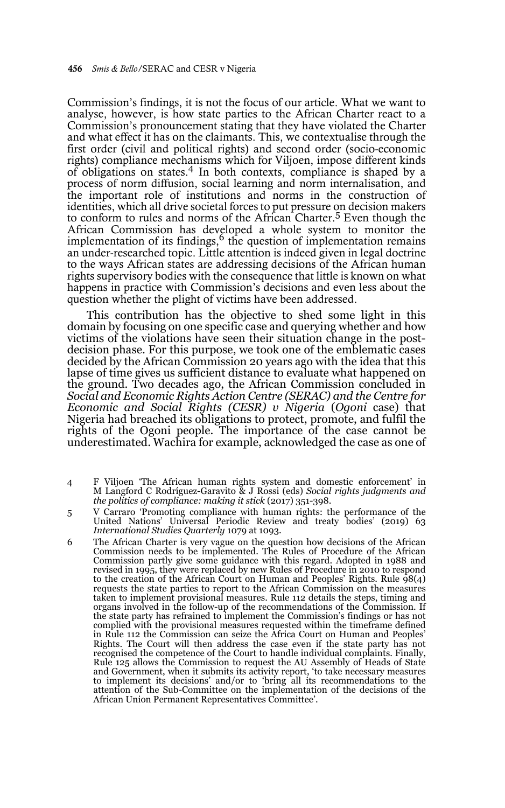Commission's findings, it is not the focus of our article. What we want to analyse, however, is how state parties to the African Charter react to a Commission's pronouncement stating that they have violated the Charter and what effect it has on the claimants. This, we contextualise through the first order (civil and political rights) and second order (socio-economic rights) compliance mechanisms which for Viljoen, impose different kinds of obligations on states.4 In both contexts, compliance is shaped by a process of norm diffusion, social learning and norm internalisation, and the important role of institutions and norms in the construction of identities, which all drive societal forces to put pressure on decision makers to conform to rules and norms of the African Charter.<sup>5</sup> Even though the African Commission has developed a whole system to monitor the implementation of its findings, $6$  the question of implementation remains an under-researched topic. Little attention is indeed given in legal doctrine to the ways African states are addressing decisions of the African human rights supervisory bodies with the consequence that little is known on what happens in practice with Commission's decisions and even less about the question whether the plight of victims have been addressed.

This contribution has the objective to shed some light in this domain by focusing on one specific case and querying whether and how victims of the violations have seen their situation change in the postdecision phase. For this purpose, we took one of the emblematic cases decided by the African Commission 20 years ago with the idea that this lapse of time gives us sufficient distance to evaluate what happened on the ground. Two decades ago, the African Commission concluded in *Social and Economic Rights Action Centre (SERAC) and the Centre for Economic and Social Rights (CESR) v Nigeria* (*Ogoni* case) that Nigeria had breached its obligations to protect, promote, and fulfil the rights of the Ogoni people. The importance of the case cannot be underestimated. Wachira for example, acknowledged the case as one of

- 4 F Viljoen 'The African human rights system and domestic enforcement' in M Langford C Rodríguez-Garavito & J Rossi (eds) *Social rights judgments and the politics of compliance: making it stick* (2017) 351-398.
- 5 V Carraro 'Promoting compliance with human rights: the performance of the United Nations' Universal Periodic Review and treaty bodies' (2019) 63 *International Studies Quarterly* 1079 at 1093.
- 6 The African Charter is very vague on the question how decisions of the African Commission needs to be implemented. The Rules of Procedure of the African Commission partly give some guidance with this regard. Adopted in 1988 and revised in 1995, they were replaced by new Rules of Procedure in 2010 to respond to the creation of the African Court on Human and Peoples' Rights. Rule  $\frac{1}{98(4)}$ requests the state parties to report to the African Commission on the measures taken to implement provisional measures. Rule 112 details the steps, timing and organs involved in the follow-up of the recommendations of the Commission. If the state party has refrained to implement the Commission's findings or has not complied with the provisional measures requested within the timeframe defined in Rule 112 the Commission can seize the Africa Court on Human and Peoples' Rights. The Court will then address the case even if the state party has not recognised the competence of the Court to handle individual complaints. Finally, Rule 125 allows the Commission to request the AU Assembly of Heads of State and Government, when it submits its activity report, 'to take necessary measures to implement its decisions' and/or to 'bring all its recommendations to the attention of the Sub-Committee on the implementation of the decisions of the African Union Permanent Representatives Committee'.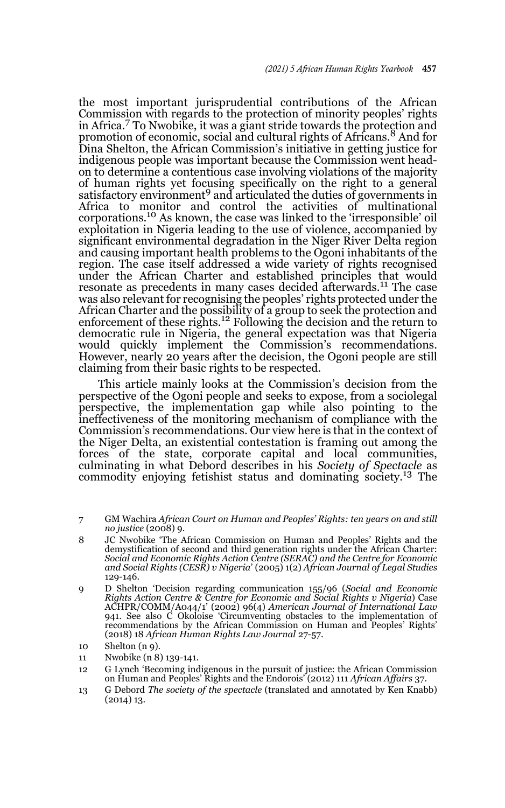the most important jurisprudential contributions of the African Commission with regards to the protection of minority peoples' rights in Africa.<sup>7</sup> To Nwobike, it was a giant stride towards the protection and promotion of economic, social and cultural rights of Africans.<sup>8</sup> And for Dina Shelton, the African Commission's initiative in getting justice for indigenous people was important because the Commission went headon to determine a contentious case involving violations of the majority of human rights yet focusing specifically on the right to a general satisfactory environment<sup>9</sup> and articulated the duties of governments in Africa to monitor and control the activities of multinational corporations.10 As known, the case was linked to the 'irresponsible' oil exploitation in Nigeria leading to the use of violence, accompanied by significant environmental degradation in the Niger River Delta region and causing important health problems to the Ogoni inhabitants of the region. The case itself addressed a wide variety of rights recognised under the African Charter and established principles that would resonate as precedents in many cases decided afterwards.<sup>11</sup> The case was also relevant for recognising the peoples' rights protected under the African Charter and the possibility of a group to seek the protection and enforcement of these rights.<sup>12</sup> Following the decision and the return to democratic rule in Nigeria, the general expectation was that Nigeria would quickly implement the Commission's recommendations. However, nearly 20 years after the decision, the Ogoni people are still claiming from their basic rights to be respected.

This article mainly looks at the Commission's decision from the perspective of the Ogoni people and seeks to expose, from a sociolegal perspective, the implementation gap while also pointing to the ineffectiveness of the monitoring mechanism of compliance with the Commission's recommendations. Our view here is that in the context of the Niger Delta, an existential contestation is framing out among the forces of the state, corporate capital and local communities, culminating in what Debord describes in his *Society of Spectacle* as commodity enjoying fetishist status and dominating society.13 The

- 7 GM Wachira *African Court on Human and Peoples' Rights: ten years on and still no justice* (2008) 9.
- 8 JC Nwobike 'The African Commission on Human and Peoples' Rights and the demystification of second and third generation rights under the African Charter: *Social and Economic Rights Action Centre (SERAC) and the Centre for Economic and Social Rights (CESR) v Nigeria*' (2005) 1(2) *African Journal of Legal Studies* 129-146.
- 9 D Shelton 'Decision regarding communication 155/96 (*Social and Economic Rights Action Centre & Centre for Economic and Social Rights v Nigeria*) Case ACHPR/COMM/A044/1' (2002) 96(4) *American Journal of International Law* 941. See also C Okoloise 'Circumventing obstacles to the implementation of recommendations by the African Commission on Human and Peoples' Rights' (2018) 18 *African Human Rights Law Journal* 27-57.

- 11 Nwobike (n 8) 139-141.
- 12 G Lynch 'Becoming indigenous in the pursuit of justice: the African Commission on Human and Peoples' Rights and the Endorois' (2012) 111 *African Affairs* 37.
- 13 G Debord *The society of the spectacle* (translated and annotated by Ken Knabb) (2014) 13.

<sup>10</sup> Shelton (n 9).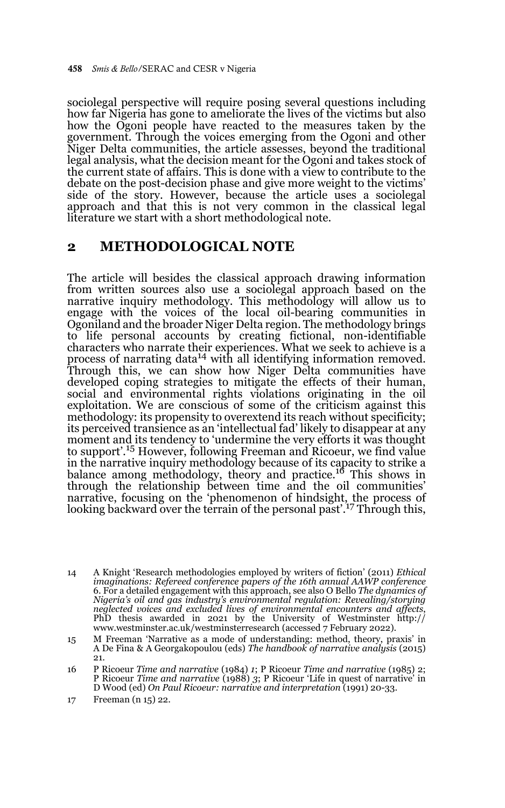sociolegal perspective will require posing several questions including how far Nigeria has gone to ameliorate the lives of the victims but also how the Ogoni people have reacted to the measures taken by the government. Through the voices emerging from the Ogoni and other Niger Delta communities, the article assesses, beyond the traditional legal analysis, what the decision meant for the Ogoni and takes stock of the current state of affairs. This is done with a view to contribute to the debate on the post-decision phase and give more weight to the victims' side of the story. However, because the article uses a sociolegal approach and that this is not very common in the classical legal literature we start with a short methodological note.

### **2 METHODOLOGICAL NOTE**

The article will besides the classical approach drawing information from written sources also use a sociolegal approach based on the narrative inquiry methodology. This methodology will allow us to engage with the voices of the local oil-bearing communities in Ogoniland and the broader Niger Delta region. The methodology brings to life personal accounts by creating fictional, non-identifiable characters who narrate their experiences. What we seek to achieve is a process of narrating data<sup>14</sup> with all identifying information removed. Through this, we can show how Niger Delta communities have developed coping strategies to mitigate the effects of their human, social and environmental rights violations originating in the oil exploitation. We are conscious of some of the criticism against this methodology: its propensity to overextend its reach without specificity; its perceived transience as an 'intellectual fad' likely to disappear at any moment and its tendency to 'undermine the very efforts it was thought to support'.15 However, following Freeman and Ricoeur, we find value in the narrative inquiry methodology because of its capacity to strike a balance among methodology, theory and practice.<sup>16</sup> This shows in through the relationship between time and the oil communities' narrative, focusing on the 'phenomenon of hindsight, the process of looking backward over the terrain of the personal past<sup>'.17</sup> Through this,

<sup>14</sup> A Knight 'Research methodologies employed by writers of fiction' (2011) *Ethical imaginations: Refereed conference papers of the 16th annual AAWP conference* 6. For a detailed engagement with this approach, see also O Bello *The dynamics of Nigeria's oil and gas industry's environmental regulation: Revealing/storying neglected voices and excluded lives of environmental encounters and affects*, PhD thesis awarded in 2021 by the University of Westminster http:// www.westminster.ac.uk/westminsterresearch (accessed 7 February 2022).

<sup>15</sup> M Freeman 'Narrative as a mode of understanding: method, theory, praxis' in A De Fina & A Georgakopoulou (eds) *The handbook of narrative analysis* (2015) 21.

<sup>16</sup> P Ricoeur *Time and narrative* (1984) *1*; P Ricoeur *Time and narrative* (1985) 2; P Ricoeur *Time and narrative* (1988) *3*; P Ricoeur 'Life in quest of narrative' in D Wood (ed) *On Paul Ricoeur: narrative and interpretation* (1991) 20-33.

<sup>17</sup> Freeman (n 15) 22.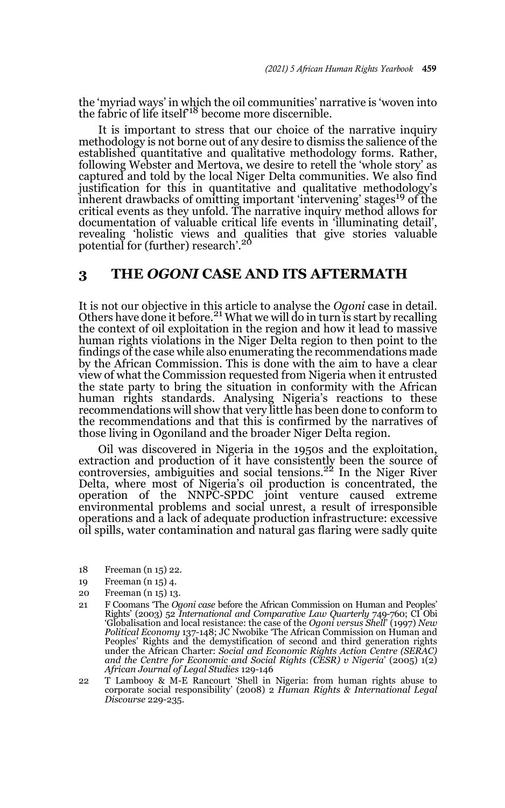the 'myriad ways' in which the oil communities' narrative is 'woven into<br>the fabric of life itself<sup>18</sup> become more discernible.

It is important to stress that our choice of the narrative inquiry methodology is not borne out of any desire to dismiss the salience of the established quantitative and qualitative methodology forms. Rather, following Webster and Mertova, we desire to retell the 'whole story' as captured and told by the local Niger Delta communities. We also find justification for this in quantitative and qualitative methodology's inherent drawbacks of omitting important 'intervening' stages<sup>19</sup> of the critical events as they unfold. The narrative inquiry method allows for documentation of valuable critical life events in 'illuminating detail', revealing 'holistic views and qualities that give stories valuable<br>potential for (further) research'.<sup>20</sup>

## **3 THE** *OGONI* **CASE AND ITS AFTERMATH**

It is not our objective in this article to analyse the *Ogoni* case in detail. Others have done it before.<sup>21</sup> What we will do in turn is start by recalling the context of oil exploitation in the region and how it lead to massive human rights violations in the Niger Delta region to then point to the findings of the case while also enumerating the recommendations made by the African Commission. This is done with the aim to have a clear view of what the Commission requested from Nigeria when it entrusted the state party to bring the situation in conformity with the African human rights standards. Analysing Nigeria's reactions to these recommendations will show that very little has been done to conform to the recommendations and that this is confirmed by the narratives of those living in Ogoniland and the broader Niger Delta region.

Oil was discovered in Nigeria in the 1950s and the exploitation, extraction and production of it have consistently been the source of controversies, ambiguities and social tensions.<sup>22</sup> In the Niger River Delta, where most of Nigeria's oil production is concentrated, the operation of the NNPC-SPDC joint venture caused extreme environmental problems and social unrest, a result of irresponsible operations and a lack of adequate production infrastructure: excessive oil spills, water contamination and natural gas flaring were sadly quite

- 18 Freeman (n 15) 22.
- 19 Freeman (n 15) 4.
- 20 Freeman (n 15) 13.
- 21 F Coomans 'The *Ogoni case* before the African Commission on Human and Peoples' Rights' (2003) 52 *International and Comparative Law Quarterly* 749-760; CI Obi 'Globalisation and local resistance: the case of the *Ogoni versus Shell*' (1997) *New Political Economy* 137-148; JC Nwobike 'The African Commission on Human and Peoples' Rights and the demystification of second and third generation rights under the African Charter: *Social and Economic Rights Action Centre (SERAC) and the Centre for Economic and Social Rights (CESR) v Nigeria*' (2005) 1(2) *African Journal of Legal Studies* 129-146

22 T Lambooy & M-E Rancourt 'Shell in Nigeria: from human rights abuse to corporate social responsibility' (2008) 2 *Human Rights & International Legal Discourse* 229-235.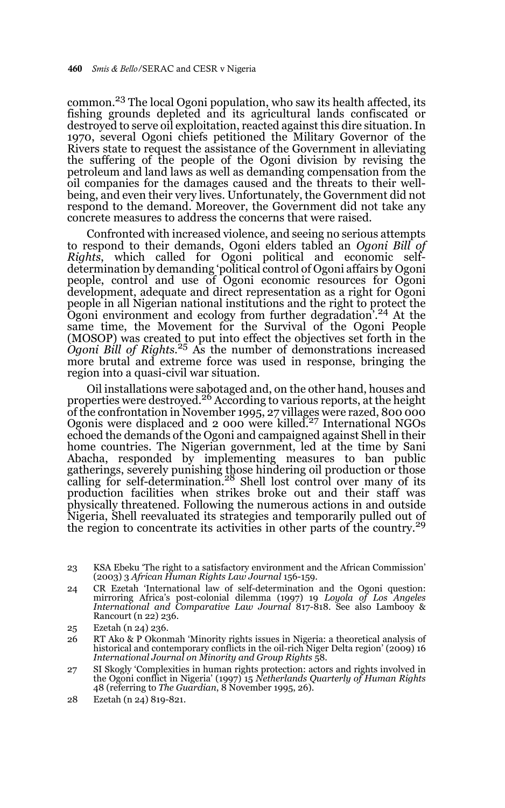common.23 The local Ogoni population, who saw its health affected, its fishing grounds depleted and its agricultural lands confiscated or destroyed to serve oil exploitation, reacted against this dire situation. In 1970, several Ogoni chiefs petitioned the Military Governor of the Rivers state to request the assistance of the Government in alleviating the suffering of the people of the Ogoni division by revising the petroleum and land laws as well as demanding compensation from the oil companies for the damages caused and the threats to their wellbeing, and even their very lives. Unfortunately, the Government did not respond to the demand. Moreover, the Government did not take any concrete measures to address the concerns that were raised.

Confronted with increased violence, and seeing no serious attempts to respond to their demands, Ogoni elders tabled an *Ogoni Bill of Rights*, which called for Ogoni political and economic selfdetermination by demanding 'political control of Ogoni affairs by Ogoni people, control and use of Ogoni economic resources for Ogoni development, adequate and direct representation as a right for Ogoni people in all Nigerian national institutions and the right to protect the Ogoni environment and ecology from further degradation<sup>24</sup> At the same time, the Movement for the Survival of the Ogoni People (MOSOP) was created to put into effect the objectives set forth in the *Ogoni Bill of Rights*. 25 As the number of demonstrations increased more brutal and extreme force was used in response, bringing the region into a quasi-civil war situation.

Oil installations were sabotaged and, on the other hand, houses and properties were destroyed.<sup>26</sup> According to various reports, at the height of the confrontation in November 1995, 27 villages were razed, 800 000<br>Ogonis were displaced and 2 000 were killed.<sup>27</sup> International NGOs echoed the demands of the Ogoni and campaigned against Shell in their home countries. The Nigerian government, led at the time by Sani Abacha, responded by implementing measures to ban public gatherings, severely punishing those hindering oil production or those<br>calling for self-determination.<sup>28</sup> Shell lost control over many of its production facilities when strikes broke out and their staff was physically threatened. Following the numerous actions in and outside Nigeria, Shell reevaluated its strategies and temporarily pulled out of the region to concentrate its activities in other parts of the country.<sup>29</sup>

24 CR Ezetah 'International law of self-determination and the Ogoni question: mirroring Africa's post-colonial dilemma (1997) 19 *Loyola of Los Angeles International and Comparative Law Journal* 817-818. See also Lambooy & Rancourt (n 22) 236.

- 26 RT Ako & P Okonmah 'Minority rights issues in Nigeria: a theoretical analysis of historical and contemporary conflicts in the oil-rich Niger Delta region' (2009) 16 *International Journal on Minority and Group Rights* 58.
- 27 SI Skogly 'Complexities in human rights protection: actors and rights involved in the Ogoni conflict in Nigeria' (1997) 15 *Netherlands Quarterly of Human Rights* 48 (referring to *The Guardian*, 8 November 1995, 26).

<sup>23</sup> KSA Ebeku 'The right to a satisfactory environment and the African Commission' (2003) 3 *African Human Rights Law Journal* 156-159.

<sup>25</sup> Ezetah (n 24) 236.

<sup>28</sup> Ezetah (n 24) 819-821.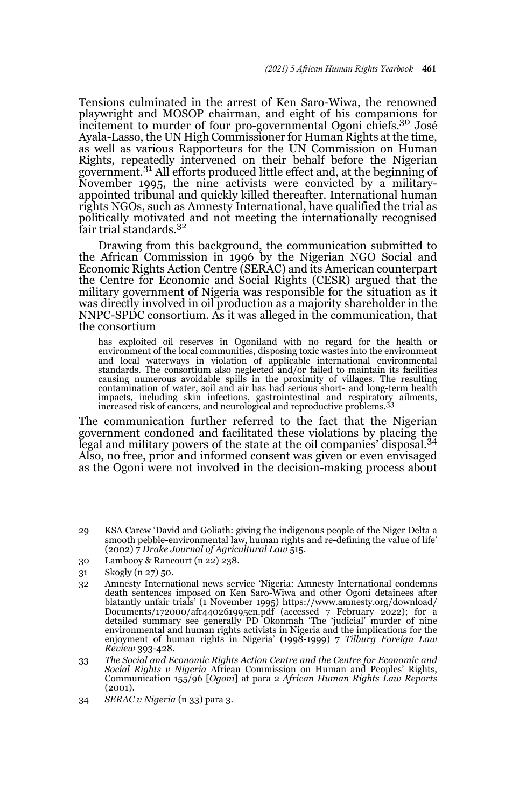Tensions culminated in the arrest of Ken Saro-Wiwa, the renowned playwright and MOSOP chairman, and eight of his companions for incitement to murder of four pro-governmental Ogoni chiefs.<sup>30</sup> José Ayala-Lasso, the UN High Commissioner for Human Rights at the time, as well as various Rapporteurs for the UN Commission on Human Rights, repeatedly intervened on their behalf before the Nigerian government.<sup>31</sup> All efforts produced little effect and, at the beginning of November 1995, the nine activists were convicted by a militaryappointed tribunal and quickly killed thereafter. International human rights NGOs, such as Amnesty International, have qualified the trial as politically motivated and not meeting the internationally recognised fair trial standards.<sup>32</sup>

Drawing from this background, the communication submitted to the African Commission in 1996 by the Nigerian NGO Social and Economic Rights Action Centre (SERAC) and its American counterpart the Centre for Economic and Social Rights (CESR) argued that the military government of Nigeria was responsible for the situation as it was directly involved in oil production as a majority shareholder in the NNPC-SPDC consortium. As it was alleged in the communication, that the consortium

has exploited oil reserves in Ogoniland with no regard for the health or environment of the local communities, disposing toxic wastes into the environment and local waterways in violation of applicable international environmental standards. The consortium also neglected and/or failed to maintain its facilities causing numerous avoidable spills in the proximity of villages. The resulting contamination of water, soil and air has had serious short- and long-term health<br>impacts, including skin infections, gastrointestinal and respiratory ailments,<br>increased risk of cancers, and neurological and reproductive p

The communication further referred to the fact that the Nigerian government condoned and facilitated these violations by placing the legal and military powers of the state at the oil companies' disposal.<sup>34</sup> Also, no free, prior and informed consent was given or even envisaged as the Ogoni were not involved in the decision-making process about

- 29 KSA Carew 'David and Goliath: giving the indigenous people of the Niger Delta a smooth pebble-environmental law, human rights and re-defining the value of life' (2002) 7 *Drake Journal of Agricultural Law* 515.
- 30 Lambooy & Rancourt (n 22) 238.
- 31 Skogly (n 27) 50.
- 32 Amnesty International news service 'Nigeria: Amnesty International condemns death sentences imposed on Ken Saro-Wiwa and other Ogoni detainees after blatantly unfair trials' (1 November 1995) https://www.amnesty.org/download/ Documents/172000/afr440261995en.pdf (accessed 7 February 2022); for a detailed summary see generally PD Okonmah 'The 'judicial' murder of nine environmental and human rights activists in Nigeria and the implications for the enjoyment of human rights in Nigeria' (1998-1999) 7 *Tilburg Foreign Law Review* 393-428.
- 33 *The Social and Economic Rights Action Centre and the Centre for Economic and Social Rights v Nigeria* African Commission on Human and Peoples' Rights, Communication 155/96 [*Ogoni*] at para 2 *African Human Rights Law Reports* (2001).
- 34 *SERAC v Nigeria* (n 33) para 3.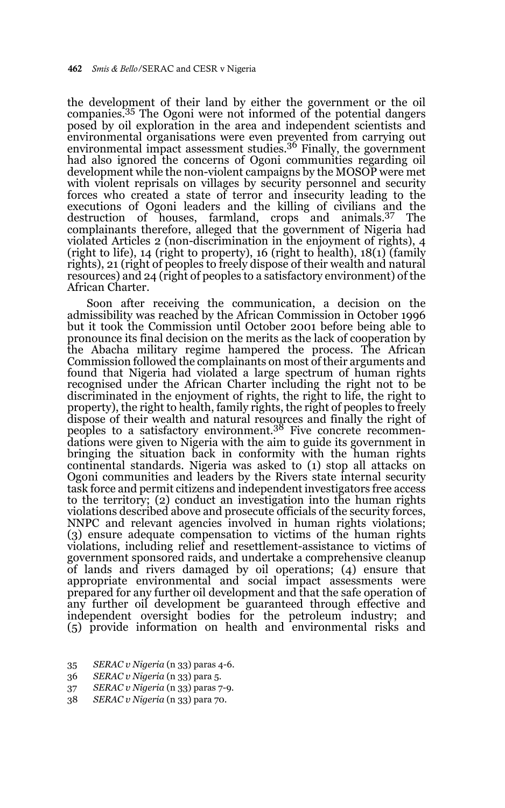the development of their land by either the government or the oil companies.35 The Ogoni were not informed of the potential dangers posed by oil exploration in the area and independent scientists and environmental organisations were even prevented from carrying out environmental impact assessment studies.36 Finally, the government had also ignored the concerns of Ogoni communities regarding oil development while the non-violent campaigns by the MOSOP were met with violent reprisals on villages by security personnel and security forces who created a state of terror and insecurity leading to the executions of Ogoni leaders and the killing of civilians and the destruction of houses, farmland, crops and animals.37 The complainants therefore, alleged that the government of Nigeria had violated Articles 2 (non-discrimination in the enjoyment of rights), 4 (right to life), 14 (right to property), 16 (right to health), 18(1) (family rights), 21 (right of peoples to freely dispose of their wealth and natural resources) and 24 (right of peoples to a satisfactory environment) of the African Charter.

Soon after receiving the communication, a decision on the admissibility was reached by the African Commission in October 1996 but it took the Commission until October 2001 before being able to pronounce its final decision on the merits as the lack of cooperation by the Abacha military regime hampered the process. The African Commission followed the complainants on most of their arguments and found that Nigeria had violated a large spectrum of human rights recognised under the African Charter including the right not to be discriminated in the enjoyment of rights, the right to life, the right to property), the right to health, family rights, the right of peoples to freely dispose of their wealth and natural resources and finally the right of peoples to a satisfactory environment.38 Five concrete recommendations were given to Nigeria with the aim to guide its government in bringing the situation back in conformity with the human rights continental standards. Nigeria was asked to (1) stop all attacks on Ogoni communities and leaders by the Rivers state internal security task force and permit citizens and independent investigators free access to the territory; (2) conduct an investigation into the human rights violations described above and prosecute officials of the security forces, NNPC and relevant agencies involved in human rights violations; (3) ensure adequate compensation to victims of the human rights violations, including relief and resettlement-assistance to victims of government sponsored raids, and undertake a comprehensive cleanup of lands and rivers damaged by oil operations; (4) ensure that appropriate environmental and social impact assessments were prepared for any further oil development and that the safe operation of any further oil development be guaranteed through effective and independent oversight bodies for the petroleum industry; and (5) provide information on health and environmental risks and

- 35 *SERAC v Nigeria* (n 33) paras 4-6.
- 36 *SERAC v Nigeria* (n 33) para 5.
- 37 *SERAC v Nigeria* (n 33) paras 7-9.
- 38 *SERAC v Nigeria* (n 33) para 70.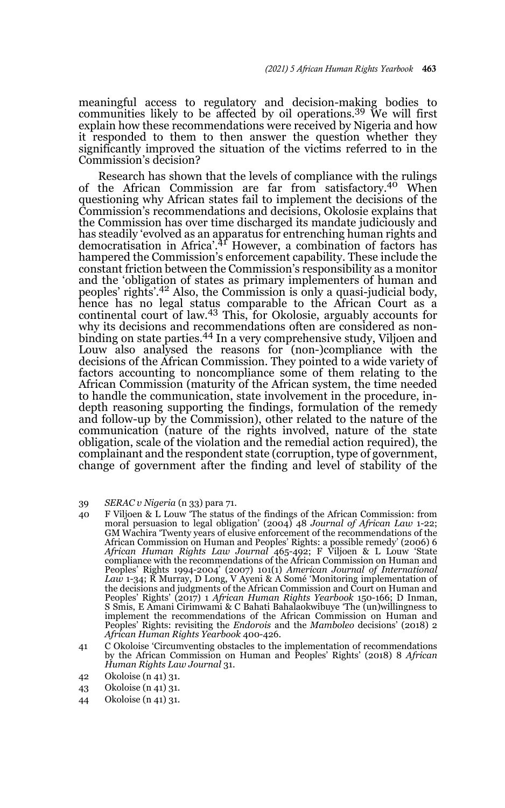meaningful access to regulatory and decision-making bodies to communities likely to be affected by oil operations.<sup>39</sup> We will first explain how these recommendations were received by Nigeria and how it responded to them to then answer the question whether they significantly improved the situation of the victims referred to in the Commission's decision?

Research has shown that the levels of compliance with the rulings of the African Commission are far from satisfactory.40 When questioning why African states fail to implement the decisions of the Commission's recommendations and decisions, Okolosie explains that the Commission has over time discharged its mandate judiciously and has steadily 'evolved as an apparatus for entrenching human rights and democratisation in Africa'.<sup>41</sup> However, a combination of factors has hampered the Commission's enforcement capability. These include the constant friction between the Commission's responsibility as a monitor and the 'obligation of states as primary implementers of human and peoples' rights'.42 Also, the Commission is only a quasi-judicial body, hence has no legal status comparable to the African Court as a continental court of law.<sup>43</sup> This, for Okolosie, arguably accounts for why its decisions and recommendations often are considered as nonbinding on state parties.44 In a very comprehensive study, Viljoen and Louw also analysed the reasons for (non-)compliance with the decisions of the African Commission. They pointed to a wide variety of factors accounting to noncompliance some of them relating to the African Commission (maturity of the African system, the time needed to handle the communication, state involvement in the procedure, indepth reasoning supporting the findings, formulation of the remedy and follow-up by the Commission), other related to the nature of the communication (nature of the rights involved, nature of the state obligation, scale of the violation and the remedial action required), the complainant and the respondent state (corruption, type of government, change of government after the finding and level of stability of the

- 39 *SERAC v Nigeria* (n 33) para 71.
- 40 F Viljoen & L Louw 'The status of the findings of the African Commission: from moral persuasion to legal obligation' (2004) 48 *Journal of African Law* 1-22; GM Wachira 'Twenty years of elusive enforcement of the recommendations of the African Commission on Human and Peoples' Rights: a possible remedy' (2006) 6 *African Human Rights Law Journal* 465-492; F Viljoen & L Louw 'State compliance with the recommendations of the African Commission on Human and Peoples' Rights 1994-2004' (2007) 101(1) *American Journal of International Law* 1-34; R Murray, D Long, V Ayeni & A Somé 'Monitoring implementation of the decisions and judgments of the African Commission and Court on Human and Peoples' Rights' (2017) 1 *African Human Rights Yearbook* 150-166; D Inman, S Smis, E Amani Cirimwami & C Bahati Bahalaokwibuye 'The (un)willingness to implement the recommendations of the African Commission on Human and Peoples' Rights: revisiting the *Endorois* and the *Mamboleo* decisions' (2018) 2 *African Human Rights Yearbook* 400-426.
- 41 C Okoloise 'Circumventing obstacles to the implementation of recommendations by the African Commission on Human and Peoples' Rights' (2018) 8 *African Human Rights Law Journal* 31.
- 42 Okoloise (n 41) 31.
- 43 Okoloise (n 41) 31.
- 44 Okoloise (n 41) 31.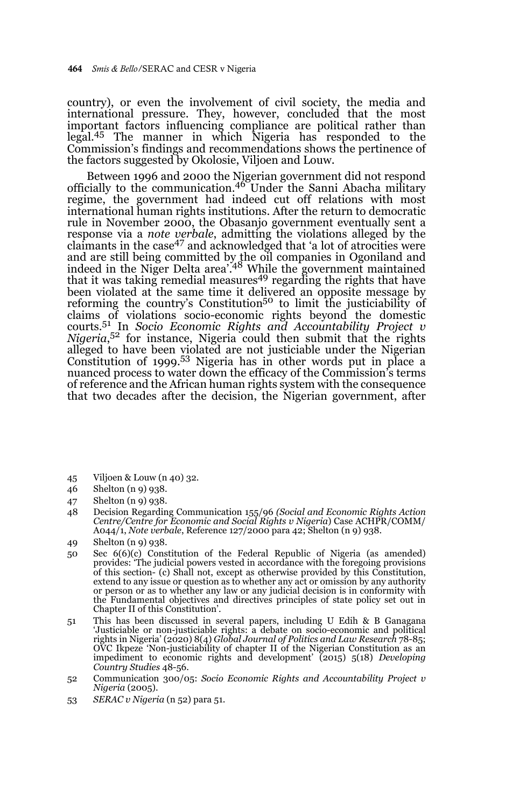country), or even the involvement of civil society, the media and international pressure. They, however, concluded that the most important factors influencing compliance are political rather than legal.45 The manner in which Nigeria has responded to the Commission's findings and recommendations shows the pertinence of the factors suggested by Okolosie, Viljoen and Louw.

Between 1996 and 2000 the Nigerian government did not respond officially to the communication.46 Under the Sanni Abacha military regime, the government had indeed cut off relations with most international human rights institutions. After the return to democratic rule in November 2000, the Obasanjo government eventually sent a response via a *note verbale*, admitting the violations alleged by the claimants in the case47 and acknowledged that 'a lot of atrocities were and are still being committed by the oil companies in Ogoniland and<br>indeed in the Niger Delta area'.<sup>48</sup> While the government maintained that it was taking remedial measures<sup>49</sup> regarding the rights that have been violated at the same time it delivered an opposite message by reforming the country's Constitution<sup>50</sup> to limit the justiciability of claims of violations socio-economic rights beyond the domestic courts.51 In *Socio Economic Rights and Accountability Project v Nigeria*, 52 for instance, Nigeria could then submit that the rights alleged to have been violated are not justiciable under the Nigerian Constitution of 1999.53 Nigeria has in other words put in place a nuanced process to water down the efficacy of the Commission's terms of reference and the African human rights system with the consequence that two decades after the decision, the Nigerian government, after

- 45 Viljoen & Louw (n 40) 32.
- 46 Shelton (n 9) 938.
- 47 Shelton (n 9) 938.
- 48 Decision Regarding Communication 155/96 *(Social and Economic Rights Action Centre/Centre for Economic and Social Rights v Nigeria*) Case ACHPR/COMM/ A044/1, *Note verbale*, Reference 127/2000 para 42; Shelton (n 9) 938.
- 49 Shelton (n 9) 938.
- 50 Sec 6(6)(c) Constitution of the Federal Republic of Nigeria (as amended) provides: 'The judicial powers vested in accordance with the foregoing provisions of this section- (c) Shall not, except as otherwise provided by this Constitution, extend to any issue or question as to whether any act or omission by any authority or person or as to whether any law or any judicial decision is in conformity with the Fundamental objectives and directives principles of state policy set out in Chapter II of this Constitution'.
- 51 This has been discussed in several papers, including U Edih & B Ganagana 'Justiciable or non-justiciable rights: a debate on socio-economic and political rights in Nigeria' (2020) 8(4) *Global Journal of Politics and Law Research* 78-85; OVC Ikpeze 'Non-justiciability of chapter II of the Nigerian Constitution as an impediment to economic rights and development' (2015) 5(18) *Developing Country Studies* 48-56.
- 52 Communication 300/05: *Socio Economic Rights and Accountability Project v Nigeria* (2005).
- 53 *SERAC v Nigeria* (n 52) para 51.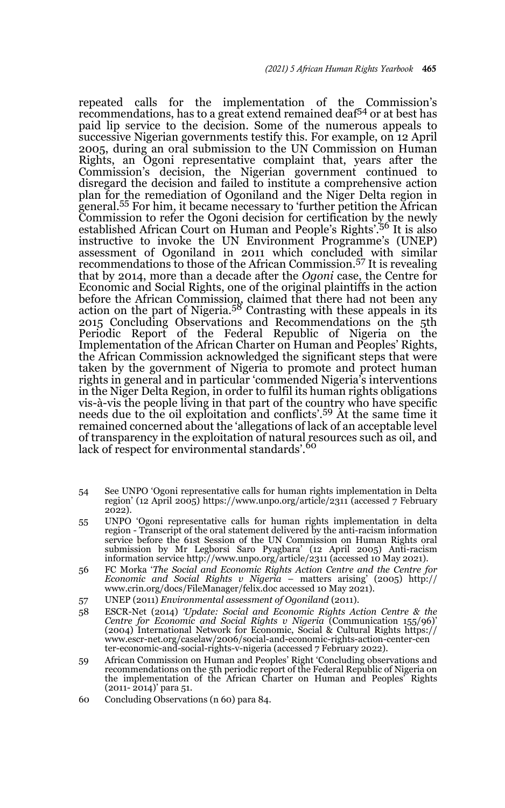repeated calls for the implementation of the Commission's recommendations, has to a great extend remained deaf54 or at best has paid lip service to the decision. Some of the numerous appeals to successive Nigerian governments testify this. For example, on 12 April 2005, during an oral submission to the UN Commission on Human Rights, an Ogoni representative complaint that, years after the Commission's decision, the Nigerian government continued to disregard the decision and failed to institute a comprehensive action plan for the remediation of Ogoniland and the Niger Delta region in general.55 For him, it became necessary to 'further petition the African Commission to refer the Ogoni decision for certification by the newly established African Court on Human and People's Rights'.<sup>56</sup> It is also instructive to invoke the UN Environment Programme's (UNEP) assessment of Ogoniland in 2011 which concluded with similar recommendations to those of the African Commission.57 It is revealing that by 2014, more than a decade after the *Ogoni* case, the Centre for Economic and Social Rights, one of the original plaintiffs in the action before the African Commission, claimed that there had not been any action on the part of Nigeria.<sup>58</sup> Contrasting with these appeals in its 2015 Concluding Observations and Recommendations on the 5th Periodic Report of the Federal Republic of Nigeria on the Implementation of the African Charter on Human and Peoples' Rights, the African Commission acknowledged the significant steps that were taken by the government of Nigeria to promote and protect human rights in general and in particular 'commended Nigeria's interventions in the Niger Delta Region, in order to fulfil its human rights obligations vis-à-vis the people living in that part of the country who have specific needs due to the oil exploitation and conflicts'.59 At the same time it remained concerned about the 'allegations of lack of an acceptable level of transparency in the exploitation of natural resources such as oil, and lack of respect for environmental standards'.<sup>60</sup>

- 54 See UNPO 'Ogoni representative calls for human rights implementation in Delta region' (12 April 2005) https://www.unpo.org/article/2311 (accessed 7 February 2022).
- 55 UNPO 'Ogoni representative calls for human rights implementation in delta region - Transcript of the oral statement delivered by the anti-racism information service before the 61st Session of the UN Commission on Human Rights oral submission by Mr Legborsi Saro Pyagbara' (12 April 2005) Anti-racism information service http://www.unpo.org/article/2311 (accessed 10 May 2021).
- 56 FC Morka '*The Social and Economic Rights Action Centre and the Centre for Economic and Social Rights v Nigeria* – matters arising' (2005) http:// www.crin.org/docs/FileManager/felix.doc accessed 10 May 2021).
- 57 UNEP (2011) *Environmental assessment of Ogoniland* (2011).
- 58 ESCR-Net (2014) *'Update: Social and Economic Rights Action Centre & the Centre for Economic and Social Rights v Nigeria* (Communication 155/96)' (2004) International Network for Economic, Social & Cultural Rights https:// www.escr-net.org/caselaw/2006/social-and-economic-rights-action-center-cen ter-economic-and-social-rights-v-nigeria (accessed 7 February 2022).
- 59 African Commission on Human and Peoples' Right 'Concluding observations and recommendations on the 5th periodic report of the Federal Republic of Nigeria on the implementation of the African Charter on Human and Peoples' Rights (2011- 2014)' para 51.
- 60 Concluding Observations (n 60) para 84.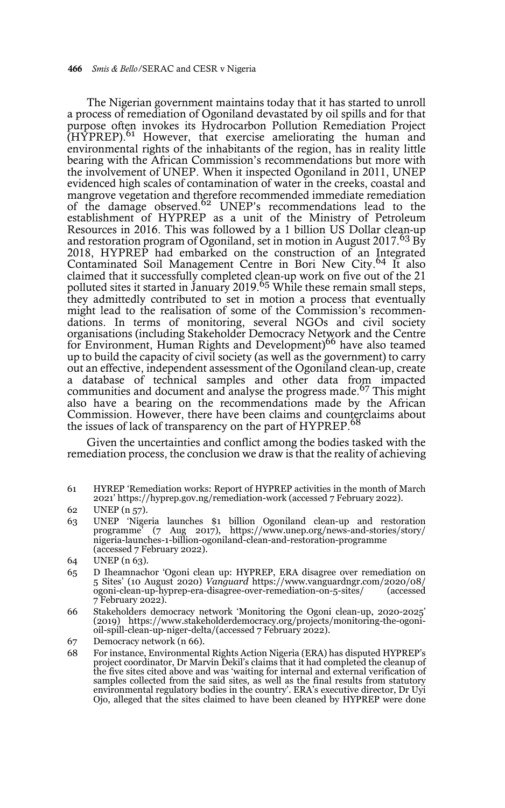The Nigerian government maintains today that it has started to unroll a process of remediation of Ogoniland devastated by oil spills and for that purpose often invokes its Hydrocarbon Pollution Remediation Project (HYPREP).<sup>61</sup> However, that exercise ameliorating the human and environmental rights of the inhabitants of the region, has in reality little bearing with the African Commission's recommendations but more with the involvement of UNEP. When it inspected Ogoniland in 2011, UNEP evidenced high scales of contamination of water in the creeks, coastal and mangrove vegetation and therefore recommended immediate remediation of the damage observed.<sup>62</sup> UNEP's recommendations lead to the establishment of HYPREP as a unit of the Ministry of Petroleum Resources in 2016. This was followed by a 1 billion US Dollar clean-up and restoration program of Ogoniland, set in motion in August 2017.<sup>63</sup> By 2018, HYPREP had embarked on the construction of an Integrated<br>Contaminated Soil Management Centre in Bori New City.<sup>64</sup> It also claimed that it successfully completed clean-up work on five out of the 21 polluted sites it started in January 2019.<sup>65</sup> While these remain small steps, they admittedly contributed to set in motion a process that eventually might lead to the realisation of some of the Commission's recommendations. In terms of monitoring, several NGOs and civil society organisations (including Stakeholder Democracy Network and the Centre for Environment, Human Rights and Development)<sup>66</sup> have also teamed up to build the capacity of civil society (as well as the government) to carry out an effective, independent assessment of the Ogoniland clean-up, create a database of technical samples and other data from impacted communities and document and analyse the progress made.<sup>67</sup> This might also have a bearing on the recommendations made by the African Commission. However, there have been claims and counterclaims about the issues of lack of transparency on the part of HYPREP.<sup>68</sup>

Given the uncertainties and conflict among the bodies tasked with the remediation process, the conclusion we draw is that the reality of achieving

61 HYREP 'Remediation works: Report of HYPREP activities in the month of March 2021' https://hyprep.gov.ng/remediation-work (accessed 7 February 2022).

63 UNEP 'Nigeria launches \$1 billion Ogoniland clean-up and restoration programme' (7 Aug 2017), https://www.unep.org/news-and-stories/story/ nigeria-launches-1-billion-ogoniland-clean-and-restoration-programme (accessed 7 February 2022).

- 65 D Iheamnachor 'Ogoni clean up: HYPREP, ERA disagree over remediation on 5 Sites' (10 August 2020) *Vanguard* https://www.vanguardngr.com/2020/08/ ogoni-clean-up-hyprep-era-disagree-over-remediation-on-5-sites/ (accessed 7 February 2022).
- 66 Stakeholders democracy network 'Monitoring the Ogoni clean-up, 2020-2025' (2019) https://www.stakeholderdemocracy.org/projects/monitoring-the-ogonioil-spill-clean-up-niger-delta/(accessed 7 February 2022).
- 67 Democracy network (n 66).
- 68 For instance, Environmental Rights Action Nigeria (ERA) has disputed HYPREP's project coordinator, Dr Marvin Dekil's claims that it had completed the cleanup of the five sites cited above and was 'waiting for internal and external verification of samples collected from the said sites, as well as the final results from statutory environmental regulatory bodies in the country'. ERA's executive director, Dr Uyi Ojo, alleged that the sites claimed to have been cleaned by HYPREP were done

<sup>62</sup> UNEP (n 57).

<sup>64</sup> UNEP (n 63).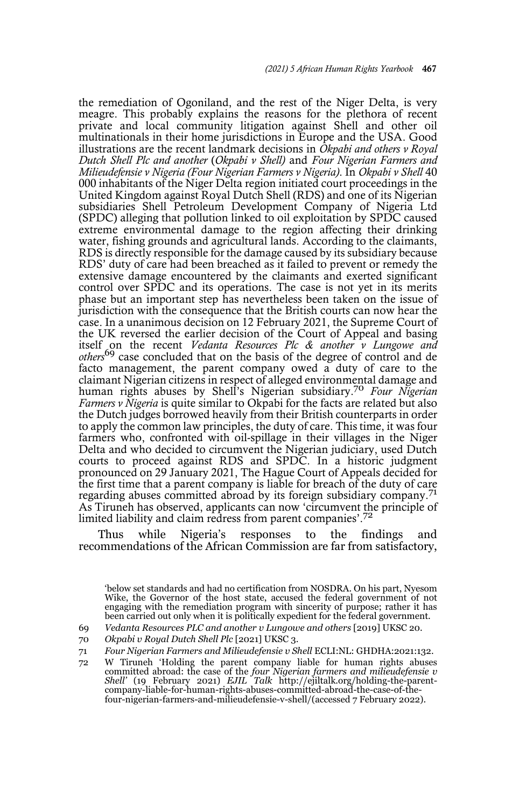the remediation of Ogoniland, and the rest of the Niger Delta, is very meagre. This probably explains the reasons for the plethora of recent private and local community litigation against Shell and other oil multinationals in their home jurisdictions in Europe and the USA. Good illustrations are the recent landmark decisions in *Okpabi and others v Royal Dutch Shell Plc and another* (*Okpabi v Shell)* and *Four Nigerian Farmers and Milieudefensie v Nigeria (Four Nigerian Farmers v Nigeria)*. In *Okpabi v Shell* 40 000 inhabitants of the Niger Delta region initiated court proceedings in the United Kingdom against Royal Dutch Shell (RDS) and one of its Nigerian subsidiaries Shell Petroleum Development Company of Nigeria Ltd (SPDC) alleging that pollution linked to oil exploitation by SPDC caused extreme environmental damage to the region affecting their drinking water, fishing grounds and agricultural lands. According to the claimants, RDS is directly responsible for the damage caused by its subsidiary because RDS' duty of care had been breached as it failed to prevent or remedy the extensive damage encountered by the claimants and exerted significant control over SPDC and its operations. The case is not yet in its merits phase but an important step has nevertheless been taken on the issue of jurisdiction with the consequence that the British courts can now hear the case. In a unanimous decision on 12 February 2021, the Supreme Court of the UK reversed the earlier decision of the Court of Appeal and basing itself on the recent *Vedanta Resources Plc & another v Lungowe and others*<sup>69</sup> case concluded that on the basis of the degree of control and de facto management, the parent company owed a duty of care to the claimant Nigerian citizens in respect of alleged environmental damage and human rights abuses by Shell's Nigerian subsidiary.70 *Four Nigerian Farmers v Nigeria* is quite similar to Okpabi for the facts are related but also the Dutch judges borrowed heavily from their British counterparts in order to apply the common law principles, the duty of care. This time, it was four farmers who, confronted with oil-spillage in their villages in the Niger Delta and who decided to circumvent the Nigerian judiciary, used Dutch courts to proceed against RDS and SPDC. In a historic judgment pronounced on 29 January 2021, The Hague Court of Appeals decided for the first time that a parent company is liable for breach of the duty of care regarding abuses committed abroad by its foreign subsidiary company.<sup>71</sup> As Tiruneh has observed, applicants can now 'circumvent the principle of limited liability and claim redress from parent companies'.<sup>72</sup>

Thus while Nigeria's responses to the findings and recommendations of the African Commission are far from satisfactory,

below set standards and had no certification from NOSDRA. On his part, Nyesom Wike, the Governor of the host state, accused the federal government of not engaging with the remediation program with sincerity of purpose; rather it has been carried out only when it is politically expedient for the federal government.

69 *Vedanta Resources PLC and another v Lungowe and others* [2019] UKSC 20.

70 *Okpabi v Royal Dutch Shell Plc* [2021] UKSC 3.

<sup>71</sup> *Four Nigerian Farmers and Milieudefensie v Shell* ECLI:NL: GHDHA:2021:132.

<sup>72</sup> W Tiruneh 'Holding the parent company liable for human rights abuses committed abroad: the case of the *four Nigerian farmers and milieudefensie v Shell'* (19 February 2021) *EJIL Talk* http://ejiltalk.org/holding-the-parentcompany-liable-for-human-rights-abuses-committed-abroad-the-case-of-thefour-nigerian-farmers-and-milieudefensie-v-shell/(accessed 7 February 2022).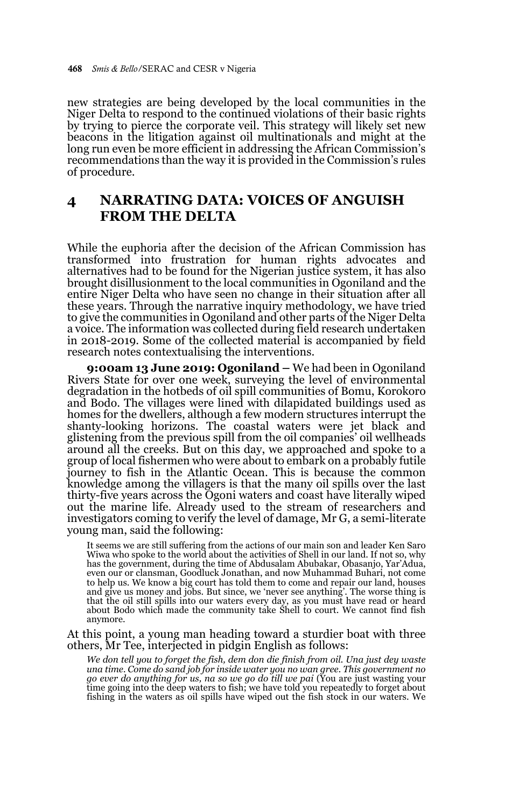new strategies are being developed by the local communities in the Niger Delta to respond to the continued violations of their basic rights by trying to pierce the corporate veil. This strategy will likely set new beacons in the litigation against oil multinationals and might at the long run even be more efficient in addressing the African Commission's recommendations than the way it is provided in the Commission's rules of procedure.

## **4 NARRATING DATA: VOICES OF ANGUISH FROM THE DELTA**

While the euphoria after the decision of the African Commission has transformed into frustration for human rights advocates and alternatives had to be found for the Nigerian justice system, it has also brought disillusionment to the local communities in Ogoniland and the entire Niger Delta who have seen no change in their situation after all these years. Through the narrative inquiry methodology, we have tried to give the communities in Ogoniland and other parts of the Niger Delta a voice. The information was collected during field research undertaken in 2018-2019. Some of the collected material is accompanied by field research notes contextualising the interventions.

**9:00am 13 June 2019: Ogoniland –** We had been in Ogoniland Rivers State for over one week, surveying the level of environmental degradation in the hotbeds of oil spill communities of Bomu, Korokoro and Bodo. The villages were lined with dilapidated buildings used as homes for the dwellers, although a few modern structures interrupt the shanty-looking horizons. The coastal waters were jet black and glistening from the previous spill from the oil companies' oil wellheads around all the creeks. But on this day, we approached and spoke to a group of local fishermen who were about to embark on a probably futile journey to fish in the Atlantic Ocean. This is because the common knowledge among the villagers is that the many oil spills over the last thirty-five years across the Ogoni waters and coast have literally wiped out the marine life. Already used to the stream of researchers and investigators coming to verify the level of damage, Mr G, a semi-literate young man, said the following:

It seems we are still suffering from the actions of our main son and leader Ken Saro Wiwa who spoke to the world about the activities of Shell in our land. If not so, why has the government, during the time of Abdusalam Abubakar, Obasanjo, Yar'Adua, even our or clansman, Goodluck Jonathan, and now Muhammad Buhari, not come to help us. We know a big court has told them to come and repair our land, houses and give us money and jobs. But since, we 'never see anything'. The worse thing is that the oil still spills into our waters every day, as you must have read or heard about Bodo which made the community take Shell to court. We cannot find fish anymore.

At this point, a young man heading toward a sturdier boat with three others, Mr Tee, interjected in pidgin English as follows:

*We don tell you to forget the fish, dem don die finish from oil. Una just dey waste* una time. Come do sand job for inside water you no wan gree. This government no<br>go ever do anything for us, na so we go do till we pai (You are just wasting your<br>time going into the deep waters to fish; we have told you re fishing in the waters as oil spills have wiped out the fish stock in our waters. We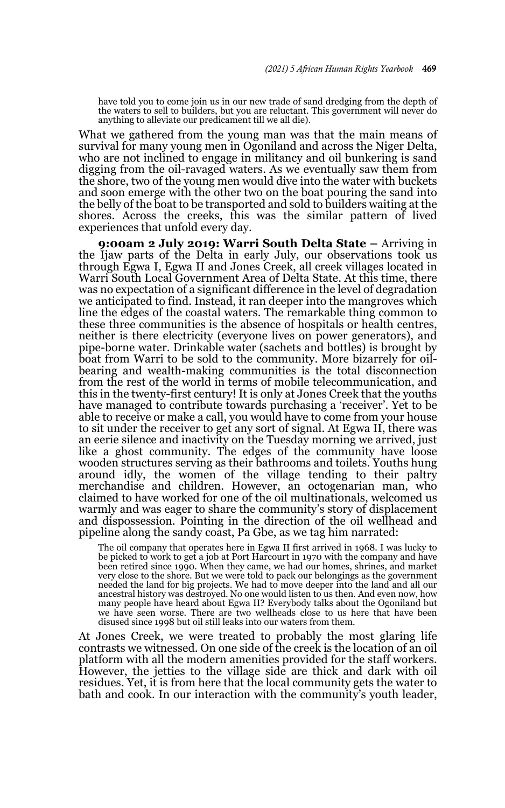have told you to come join us in our new trade of sand dredging from the depth of the waters to sell to builders, but you are reluctant. This government will never do anything to alleviate our predicament till we all die).

What we gathered from the young man was that the main means of survival for many young men in Ogoniland and across the Niger Delta, who are not inclined to engage in militancy and oil bunkering is sand digging from the oil-ravaged waters. As we eventually saw them from the shore, two of the young men would dive into the water with buckets and soon emerge with the other two on the boat pouring the sand into the belly of the boat to be transported and sold to builders waiting at the shores. Across the creeks, this was the similar pattern of lived experiences that unfold every day.

**9:00am 2 July 2019: Warri South Delta State –** Arriving in the Ijaw parts of the Delta in early July, our observations took us through Egwa I, Egwa II and Jones Creek, all creek villages located in Warri South Local Government Area of Delta State. At this time, there was no expectation of a significant difference in the level of degradation we anticipated to find. Instead, it ran deeper into the mangroves which line the edges of the coastal waters. The remarkable thing common to these three communities is the absence of hospitals or health centres, neither is there electricity (everyone lives on power generators), and pipe-borne water. Drinkable water (sachets and bottles) is brought by boat from Warri to be sold to the community. More bizarrely for oilbearing and wealth-making communities is the total disconnection from the rest of the world in terms of mobile telecommunication, and this in the twenty-first century! It is only at Jones Creek that the youths have managed to contribute towards purchasing a 'receiver'. Yet to be able to receive or make a call, you would have to come from your house to sit under the receiver to get any sort of signal. At Egwa II, there was an eerie silence and inactivity on the Tuesday morning we arrived, just like a ghost community. The edges of the community have loose wooden structures serving as their bathrooms and toilets. Youths hung around idly, the women of the village tending to their paltry merchandise and children. However, an octogenarian man, who claimed to have worked for one of the oil multinationals, welcomed us warmly and was eager to share the community's story of displacement and dispossession. Pointing in the direction of the oil wellhead and pipeline along the sandy coast, Pa Gbe, as we tag him narrated:

The oil company that operates here in Egwa II first arrived in 1968. I was lucky to be picked to work to get a job at Port Harcourt in 1970 with the company and have been retired since 1990. When they came, we had our homes, shrines, and market very close to the shore. But we were told to pack our belongings as the government needed the land for big projects. We had to move deeper into the land and all our ancestral history was destroyed. No one would listen to us then. And even now, how many people have heard about Egwa II? Everybody talks about the Ogoniland but we have seen worse. There are two wellheads close to us here that have been disused since 1998 but oil still leaks into our waters from them.

At Jones Creek, we were treated to probably the most glaring life contrasts we witnessed. On one side of the creek is the location of an oil platform with all the modern amenities provided for the staff workers. However, the jetties to the village side are thick and dark with oil residues. Yet, it is from here that the local community gets the water to bath and cook. In our interaction with the community's youth leader,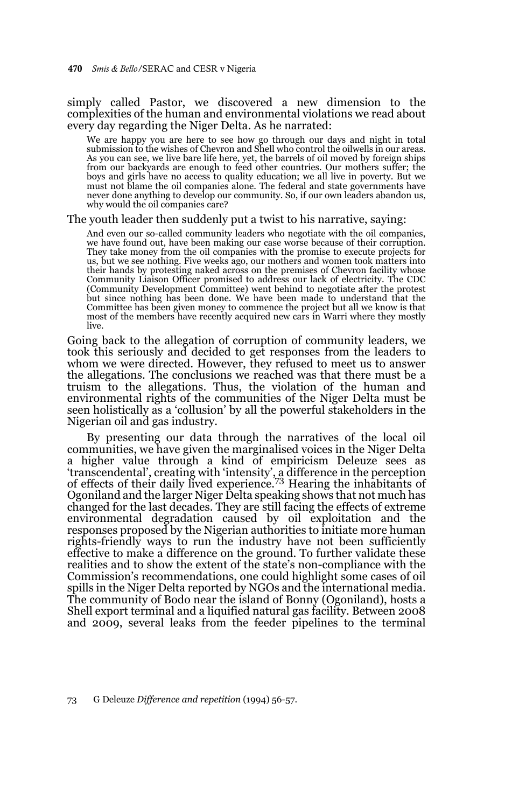#### simply called Pastor, we discovered a new dimension to the complexities of the human and environmental violations we read about every day regarding the Niger Delta. As he narrated:

We are happy you are here to see how go through our days and night in total submission to the wishes of Chevron and Shell who control the oilwells in our areas. As you can see, we live bare life here, yet, the barrels of oil moved by foreign ships from our backyards are enough to feed other countries. Our mothers suffer; the boys and girls have no access to quality education; we all live in poverty. But we must not blame the oil companies alone. The federal and state governments have never done anything to develop our community. So, if our own leaders abandon us, why would the oil companies care?

#### The youth leader then suddenly put a twist to his narrative, saying:

And even our so-called community leaders who negotiate with the oil companies, we have found out, have been making our case worse because of their corruption. They take money from the oil companies with the promise to execute projects for us, but we see nothing. Five weeks ago, our mothers and women took matters into their hands by protesting naked across on the premises of Chevron facility whose Community Liaison Officer promised to address our lack of electricity. The CDC (Community Development Committee) went behind to negotiate after the protest but since nothing has been done. We have been made to understand that the Committee has been given money to commence the project but all we know is that most of the members have recently acquired new cars in Warri where they mostly live.

Going back to the allegation of corruption of community leaders, we took this seriously and decided to get responses from the leaders to whom we were directed. However, they refused to meet us to answer the allegations. The conclusions we reached was that there must be a truism to the allegations. Thus, the violation of the human and environmental rights of the communities of the Niger Delta must be seen holistically as a 'collusion' by all the powerful stakeholders in the Nigerian oil and gas industry.

By presenting our data through the narratives of the local oil communities, we have given the marginalised voices in the Niger Delta a higher value through a kind of empiricism Deleuze sees as 'transcendental', creating with 'intensity', a difference in the perception of effects of their daily lived experience.73 Hearing the inhabitants of Ogoniland and the larger Niger Delta speaking shows that not much has changed for the last decades. They are still facing the effects of extreme environmental degradation caused by oil exploitation and the responses proposed by the Nigerian authorities to initiate more human rights-friendly ways to run the industry have not been sufficiently effective to make a difference on the ground. To further validate these realities and to show the extent of the state's non-compliance with the Commission's recommendations, one could highlight some cases of oil spills in the Niger Delta reported by NGOs and the international media. The community of Bodo near the island of Bonny (Ogoniland), hosts a Shell export terminal and a liquified natural gas facility. Between 2008 and 2009, several leaks from the feeder pipelines to the terminal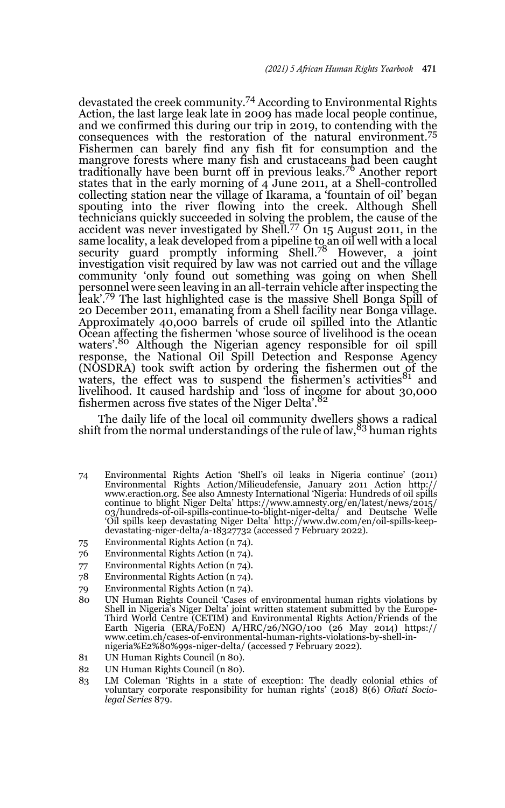devastated the creek community.74 According to Environmental Rights Action, the last large leak late in 2009 has made local people continue, and we confirmed this during our trip in 2019, to contending with the consequences with the restoration of the natural environment.<sup>75</sup> Fishermen can barely find any fish fit for consumption and the mangrove forests where many fish and crustaceans had been caught traditionally have been burnt off in previous leaks.76 Another report states that in the early morning of 4 June 2011, at a Shell-controlled collecting station near the village of Ikarama, a 'fountain of oil' began spouting into the river flowing into the creek. Although Shell technicians quickly succeeded in solving the problem, the cause of the accident was never investigated by Shell.<sup>77</sup> On  $15$  August 2011, in the same locality, a leak developed from a pipeline to an oil well with a local security guard promptly informing Shell.<sup>78</sup> However, a joint investigation visit required by law was not carried out and the village community 'only found out something was going on when Shell personnel were seen leaving in an all-terrain vehicle after inspecting the leak'.79 The last highlighted case is the massive Shell Bonga Spill of 20 December 2011, emanating from a Shell facility near Bonga village. Approximately 40,000 barrels of crude oil spilled into the Atlantic Ocean affecting the fishermen 'whose source of livelihood is the ocean waters'.<sup>80</sup> Although the Nigerian agency responsible for oil spill response, the National Oil Spill Detection and Response Agency (NOSDRA) took swift action by ordering the fishermen out of the waters, the effect was to suspend the fishermen's activities $81$  and livelihood. It caused hardship and 'loss of income for about 30,000 fishermen across five states of the Niger Delta'.<sup>82</sup>

The daily life of the local oil community dwellers shows a radical shift from the normal understandings of the rule of law,<sup>83</sup> human rights

- 74 Environmental Rights Action 'Shell's oil leaks in Nigeria continue' (2011) Environmental Rights Action/Milieudefensie, January 2011 Action http://<br>www.eraction.org. See also Amnesty International 'Nigeria: Hundreds of oil spills<br>continue to blight Niger Delta' https://www.amnesty.org/en/latest/ne 03/hundreds-of-oil-spills-continue-to-blight-niger-delta/ and Deutsche Welle 'Oil spills keep devastating Niger Delta' http://www.dw.com/en/oil-spills-keepdevastating-niger-delta/a-18327732 (accessed 7 February 2022).
- 75 Environmental Rights Action (n 74).
- 76 Environmental Rights Action (n 74).
- 77 Environmental Rights Action (n 74).
- 78 Environmental Rights Action (n 74).
- 79 Environmental Rights Action (n 74).
- 80 UN Human Rights Council 'Cases of environmental human rights violations by Shell in Nigeria's Niger Delta' joint written statement submitted by the Europe-Third World Centre (CETIM) and Environmental Rights Action/Friends of the Earth Nigeria (ERA/FoEN) A/HRC/26/NGO/100 (26 May 2014) https:// www.cetim.ch/cases-of-environmental-human-rights-violations-by-shell-innigeria%E2%80%99s-niger-delta/ (accessed 7 February 2022).
- 81 UN Human Rights Council (n 80).
- 82 UN Human Rights Council (n 80).
- 83 LM Coleman 'Rights in a state of exception: The deadly colonial ethics of voluntary corporate responsibility for human rights' (2018) 8(6) *Oñati Sociolegal Series* 879.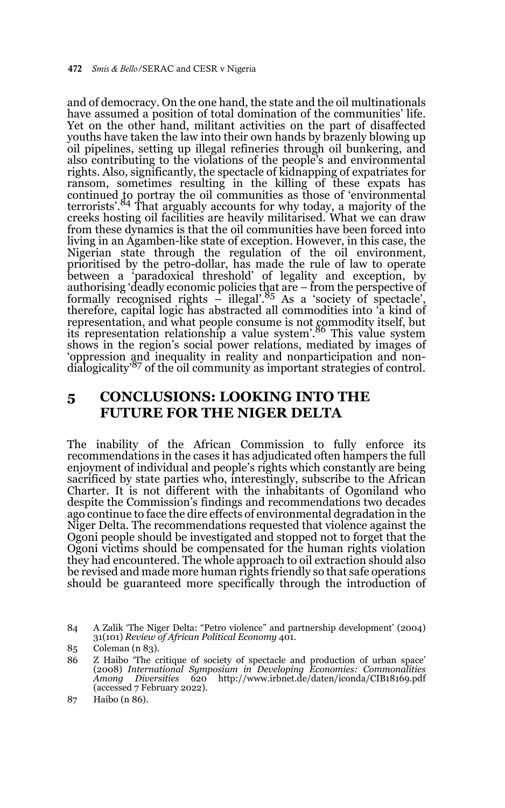and of democracy. On the one hand, the state and the oil multinationals have assumed a position of total domination of the communities' life. Yet on the other hand, militant activities on the part of disaffected youths have taken the law into their own hands by brazenly blowing up oil pipelines, setting up illegal refineries through oil bunkering, and also contributing to the violations of the people's and environmental rights. Also, significantly, the spectacle of kidnapping of expatriates for ransom, sometimes resulting in the killing of these expats has continued to portray the oil communities as those of 'environmental terrorists'.84 That arguably accounts for why today, a majority of the creeks hosting oil facilities are heavily militarised. What we can draw from these dynamics is that the oil communities have been forced into living in an Agamben-like state of exception. However, in this case, the Nigerian state through the regulation of the oil environment, prioritised by the petro-dollar, has made the rule of law to operate between a 'paradoxical threshold' of legality and exception, by authorising 'deadly economic policies that are – from the perspective of formally recognised rights – illegal'.<sup>85</sup> As a 'society of spectacle', therefore, capital logic has abstracted all commodities into 'a kind of representation, and what people consume is not commodity itself, but its representation relationship a value system.<sup>86</sup> This value system shows in the region's social power relations, mediated by images of 'oppression and inequality in reality and nonparticipation and nondialogicality'87 of the oil community as important strategies of control.

# **5 CONCLUSIONS: LOOKING INTO THE FUTURE FOR THE NIGER DELTA**

The inability of the African Commission to fully enforce its recommendations in the cases it has adjudicated often hampers the full enjoyment of individual and people's rights which constantly are being sacrificed by state parties who, interestingly, subscribe to the African Charter. It is not different with the inhabitants of Ogoniland who despite the Commission's findings and recommendations two decades ago continue to face the dire effects of environmental degradation in the Niger Delta. The recommendations requested that violence against the Ogoni people should be investigated and stopped not to forget that the Ogoni victims should be compensated for the human rights violation they had encountered. The whole approach to oil extraction should also be revised and made more human rights friendly so that safe operations should be guaranteed more specifically through the introduction of

<sup>84</sup> A Zalik 'The Niger Delta: "Petro violence" and partnership development' (2004) 31(101) *Review of African Political Economy* 401.

<sup>85</sup> Coleman (n 83).

<sup>86</sup> Z Haibo 'The critique of society of spectacle and production of urban space' (2008) *International Symposium in Developing Economies: Commonalities Among Diversities* 620 http://www.irbnet.de/daten/iconda/CIB18169.pdf (accessed 7 February 2022).

<sup>87</sup> Haibo (n 86).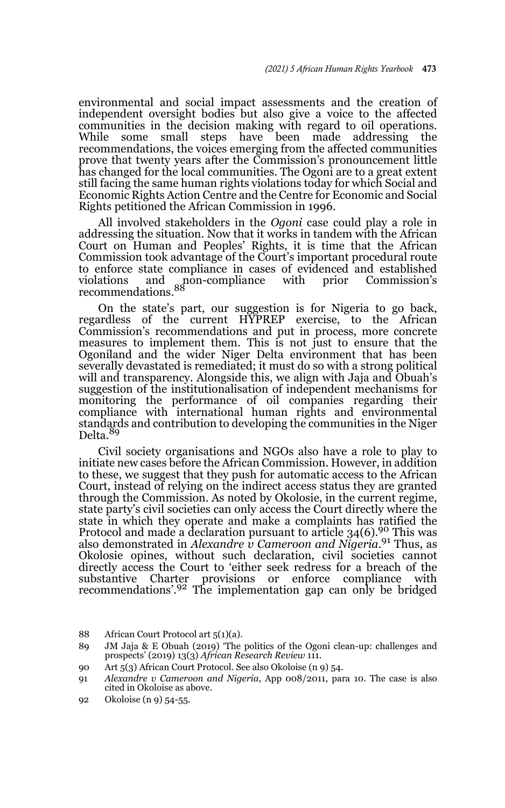environmental and social impact assessments and the creation of independent oversight bodies but also give a voice to the affected communities in the decision making with regard to oil operations. While some small steps have been made addressing the recommendations, the voices emerging from the affected communities prove that twenty years after the Commission's pronouncement little has changed for the local communities. The Ogoni are to a great extent still facing the same human rights violations today for which Social and Economic Rights Action Centre and the Centre for Economic and Social Rights petitioned the African Commission in 1996.

All involved stakeholders in the *Ogoni* case could play a role in addressing the situation. Now that it works in tandem with the African Court on Human and Peoples' Rights, it is time that the African Commission took advantage of the Court's important procedural route to enforce state compliance in cases of evidenced and established violations and non-compliance with prior Commission's violations and non-compliance with prior Commission's<br>recommendations.<sup>88</sup>

On the state's part, our suggestion is for Nigeria to go back, regardless of the current HYPREP exercise, to the African Commission's recommendations and put in process, more concrete measures to implement them. This is not just to ensure that the Ogoniland and the wider Niger Delta environment that has been severally devastated is remediated; it must do so with a strong political will and transparency. Alongside this, we align with Jaja and Obuah's suggestion of the institutionalisation of independent mechanisms for monitoring the performance of oil companies regarding their compliance with international human rights and environmental standards and contribution to developing the communities in the Niger Delta.<sup>89</sup>

Civil society organisations and NGOs also have a role to play to initiate new cases before the African Commission. However, in addition to these, we suggest that they push for automatic access to the African Court, instead of relying on the indirect access status they are granted through the Commission. As noted by Okolosie, in the current regime, state party's civil societies can only access the Court directly where the state in which they operate and make a complaints has ratified the Protocol and made a declaration pursuant to article 34(6).90 This was also demonstrated in *Alexandre v Cameroon and Nigeria*. 91 Thus, as Okolosie opines, without such declaration, civil societies cannot directly access the Court to 'either seek redress for a breach of the substantive Charter provisions or enforce compliance with recommendations'.92 The implementation gap can only be bridged

90 Art 5(3) African Court Protocol. See also Okoloise (n 9) 54.

92 Okoloise (n 9) 54-55.

<sup>88</sup> African Court Protocol art 5(1)(a).

<sup>89</sup> JM Jaja & E Obuah (2019) 'The politics of the Ogoni clean-up: challenges and prospects' (2019) 13(3) *African Research Review* 111.

<sup>91</sup> *Alexandre v Cameroon and Nigeria*, App 008/2011, para 10. The case is also cited in Okoloise as above.